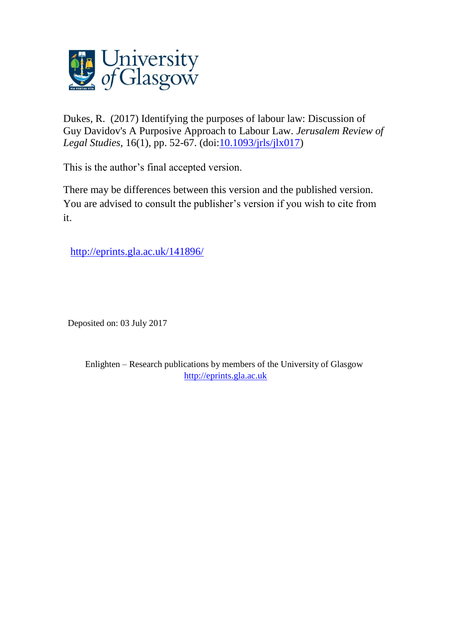

Dukes, R. (2017) Identifying the purposes of labour law: Discussion of Guy Davidov's A Purposive Approach to Labour Law. *Jerusalem Review of Legal Studies*, 16(1), pp. 52-67. (doi[:10.1093/jrls/jlx017\)](http://dx.doi.org/10.1093/jrls/jlx017)

This is the author's final accepted version.

There may be differences between this version and the published version. You are advised to consult the publisher's version if you wish to cite from it.

<http://eprints.gla.ac.uk/141896/>

Deposited on: 03 July 2017

Enlighten – Research publications by members of the University of Glasgow [http://eprints.gla.ac.uk](http://eprints.gla.ac.uk/)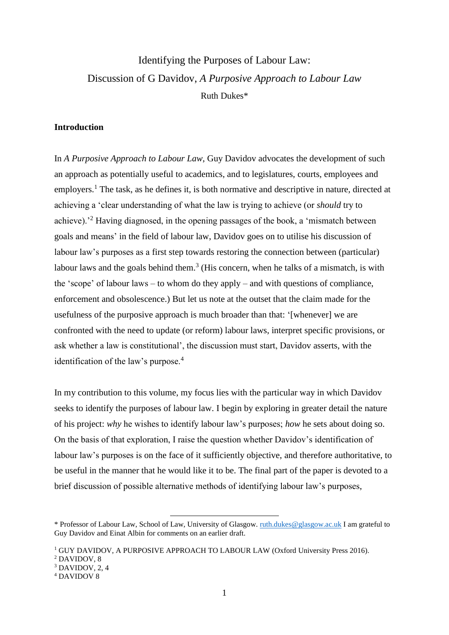# Identifying the Purposes of Labour Law: Discussion of G Davidov, *A Purposive Approach to Labour Law* Ruth Dukes\*

# **Introduction**

In *A Purposive Approach to Labour Law*, Guy Davidov advocates the development of such an approach as potentially useful to academics, and to legislatures, courts, employees and employers.<sup>1</sup> The task, as he defines it, is both normative and descriptive in nature, directed at achieving a 'clear understanding of what the law is trying to achieve (or *should* try to achieve).'<sup>2</sup> Having diagnosed, in the opening passages of the book, a 'mismatch between goals and means' in the field of labour law, Davidov goes on to utilise his discussion of labour law's purposes as a first step towards restoring the connection between (particular) labour laws and the goals behind them.<sup>3</sup> (His concern, when he talks of a mismatch, is with the 'scope' of labour laws – to whom do they apply – and with questions of compliance, enforcement and obsolescence.) But let us note at the outset that the claim made for the usefulness of the purposive approach is much broader than that: '[whenever] we are confronted with the need to update (or reform) labour laws, interpret specific provisions, or ask whether a law is constitutional', the discussion must start, Davidov asserts, with the identification of the law's purpose.<sup>4</sup>

In my contribution to this volume, my focus lies with the particular way in which Davidov seeks to identify the purposes of labour law. I begin by exploring in greater detail the nature of his project: *why* he wishes to identify labour law's purposes; *how* he sets about doing so. On the basis of that exploration, I raise the question whether Davidov's identification of labour law's purposes is on the face of it sufficiently objective, and therefore authoritative, to be useful in the manner that he would like it to be. The final part of the paper is devoted to a brief discussion of possible alternative methods of identifying labour law's purposes,

 $\overline{a}$ 

 $3$  DAVIDOV,  $2, 4$ 

<sup>\*</sup> Professor of Labour Law, School of Law, University of Glasgow. [ruth.dukes@glasgow.ac.uk](mailto:ruth.dukes@glasgow.ac.uk) I am grateful to Guy Davidov and Einat Albin for comments on an earlier draft.

<sup>&</sup>lt;sup>1</sup> GUY DAVIDOV, A PURPOSIVE APPROACH TO LABOUR LAW (Oxford University Press 2016). <sup>2</sup> DAVIDOV, 8

<sup>4</sup> DAVIDOV 8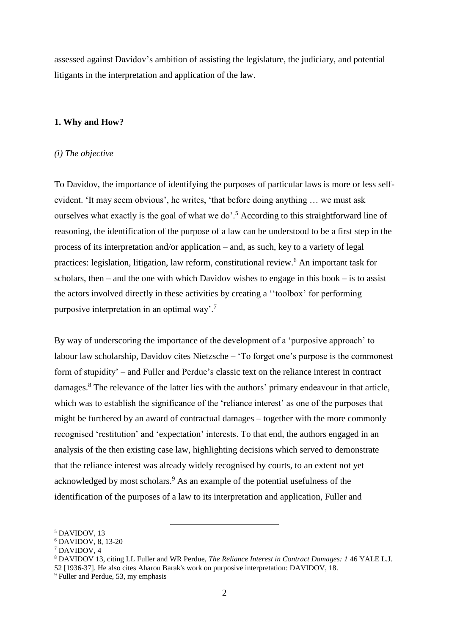assessed against Davidov's ambition of assisting the legislature, the judiciary, and potential litigants in the interpretation and application of the law.

## **1. Why and How?**

#### *(i) The objective*

To Davidov, the importance of identifying the purposes of particular laws is more or less selfevident. 'It may seem obvious', he writes, 'that before doing anything … we must ask ourselves what exactly is the goal of what we do'.<sup>5</sup> According to this straightforward line of reasoning, the identification of the purpose of a law can be understood to be a first step in the process of its interpretation and/or application – and, as such, key to a variety of legal practices: legislation, litigation, law reform, constitutional review.<sup>6</sup> An important task for scholars, then – and the one with which Davidov wishes to engage in this book – is to assist the actors involved directly in these activities by creating a ''toolbox' for performing purposive interpretation in an optimal way'.<sup>7</sup>

By way of underscoring the importance of the development of a 'purposive approach' to labour law scholarship, Davidov cites Nietzsche – 'To forget one's purpose is the commonest form of stupidity' – and Fuller and Perdue's classic text on the reliance interest in contract damages. <sup>8</sup> The relevance of the latter lies with the authors' primary endeavour in that article, which was to establish the significance of the 'reliance interest' as one of the purposes that might be furthered by an award of contractual damages – together with the more commonly recognised 'restitution' and 'expectation' interests. To that end, the authors engaged in an analysis of the then existing case law, highlighting decisions which served to demonstrate that the reliance interest was already widely recognised by courts, to an extent not yet acknowledged by most scholars.<sup>9</sup> As an example of the potential usefulness of the identification of the purposes of a law to its interpretation and application, Fuller and

<sup>7</sup> DAVIDOV, 4

<sup>5</sup> DAVIDOV, 13

<sup>6</sup> DAVIDOV, 8, 13-20

<sup>8</sup> DAVIDOV 13, citing LL Fuller and WR Perdue, *The Reliance Interest in Contract Damages: 1* 46 YALE L.J.

<sup>52</sup> [1936-37]. He also cites Aharon Barak's work on purposive interpretation: DAVIDOV, 18.

<sup>&</sup>lt;sup>9</sup> Fuller and Perdue, 53, my emphasis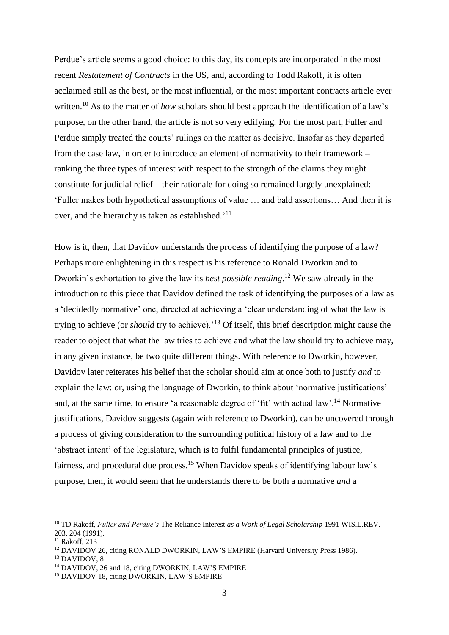Perdue's article seems a good choice: to this day, its concepts are incorporated in the most recent *Restatement of Contracts* in the US, and, according to Todd Rakoff, it is often acclaimed still as the best, or the most influential, or the most important contracts article ever written.<sup>10</sup> As to the matter of *how* scholars should best approach the identification of a law's purpose, on the other hand, the article is not so very edifying. For the most part, Fuller and Perdue simply treated the courts' rulings on the matter as decisive. Insofar as they departed from the case law, in order to introduce an element of normativity to their framework – ranking the three types of interest with respect to the strength of the claims they might constitute for judicial relief – their rationale for doing so remained largely unexplained: 'Fuller makes both hypothetical assumptions of value … and bald assertions… And then it is over, and the hierarchy is taken as established.<sup>'11</sup>

How is it, then, that Davidov understands the process of identifying the purpose of a law? Perhaps more enlightening in this respect is his reference to Ronald Dworkin and to Dworkin's exhortation to give the law its *best possible reading*. <sup>12</sup> We saw already in the introduction to this piece that Davidov defined the task of identifying the purposes of a law as a 'decidedly normative' one, directed at achieving a 'clear understanding of what the law is trying to achieve (or *should* try to achieve).'<sup>13</sup> Of itself, this brief description might cause the reader to object that what the law tries to achieve and what the law should try to achieve may, in any given instance, be two quite different things. With reference to Dworkin, however, Davidov later reiterates his belief that the scholar should aim at once both to justify *and* to explain the law: or, using the language of Dworkin, to think about 'normative justifications' and, at the same time, to ensure 'a reasonable degree of 'fit' with actual law'.<sup>14</sup> Normative justifications, Davidov suggests (again with reference to Dworkin), can be uncovered through a process of giving consideration to the surrounding political history of a law and to the 'abstract intent' of the legislature, which is to fulfil fundamental principles of justice, fairness, and procedural due process.<sup>15</sup> When Davidov speaks of identifying labour law's purpose, then, it would seem that he understands there to be both a normative *and* a

<sup>10</sup> TD Rakoff, *Fuller and Perdue's* The Reliance Interest *as a Work of Legal Scholarship* 1991 WIS.L.REV. 203, 204 (1991).

<sup>&</sup>lt;sup>11</sup> Rakoff, 213

<sup>&</sup>lt;sup>12</sup> DAVIDOV 26, citing RONALD DWORKIN, LAW'S EMPIRE (Harvard University Press 1986).

<sup>13</sup> DAVIDOV, 8

<sup>&</sup>lt;sup>14</sup> DAVIDOV, 26 and 18, citing DWORKIN, LAW'S EMPIRE

<sup>&</sup>lt;sup>15</sup> DAVIDOV 18, citing DWORKIN, LAW'S EMPIRE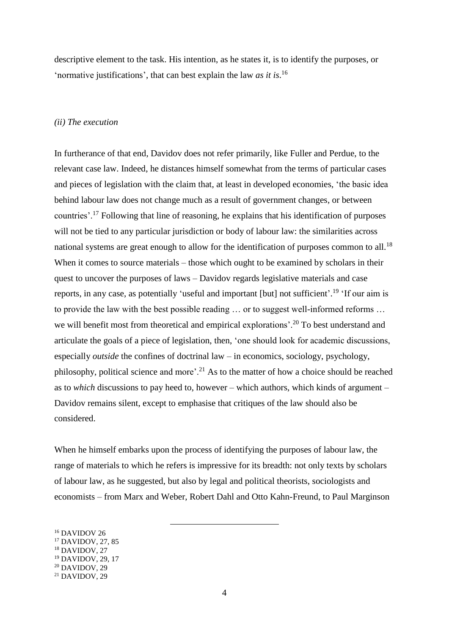descriptive element to the task. His intention, as he states it, is to identify the purposes, or 'normative justifications', that can best explain the law *as it is*. 16

#### *(ii) The execution*

In furtherance of that end, Davidov does not refer primarily, like Fuller and Perdue, to the relevant case law. Indeed, he distances himself somewhat from the terms of particular cases and pieces of legislation with the claim that, at least in developed economies, 'the basic idea behind labour law does not change much as a result of government changes, or between countries'.<sup>17</sup> Following that line of reasoning, he explains that his identification of purposes will not be tied to any particular jurisdiction or body of labour law: the similarities across national systems are great enough to allow for the identification of purposes common to all.<sup>18</sup> When it comes to source materials – those which ought to be examined by scholars in their quest to uncover the purposes of laws – Davidov regards legislative materials and case reports, in any case, as potentially 'useful and important [but] not sufficient'.<sup>19</sup> 'If our aim is to provide the law with the best possible reading … or to suggest well-informed reforms … we will benefit most from theoretical and empirical explorations'.<sup>20</sup> To best understand and articulate the goals of a piece of legislation, then, 'one should look for academic discussions, especially *outside* the confines of doctrinal law – in economics, sociology, psychology, philosophy, political science and more'.<sup>21</sup> As to the matter of how a choice should be reached as to *which* discussions to pay heed to, however – which authors, which kinds of argument – Davidov remains silent, except to emphasise that critiques of the law should also be considered.

When he himself embarks upon the process of identifying the purposes of labour law, the range of materials to which he refers is impressive for its breadth: not only texts by scholars of labour law, as he suggested, but also by legal and political theorists, sociologists and economists – from Marx and Weber, Robert Dahl and Otto Kahn-Freund, to Paul Marginson

<sup>16</sup> DAVIDOV 26

<sup>17</sup> DAVIDOV, 27, 85

<sup>&</sup>lt;sup>18</sup> DAVIDOV, 27

<sup>19</sup> DAVIDOV, 29, 17

<sup>20</sup> DAVIDOV, 29

 $21$  DAVIDOV,  $29$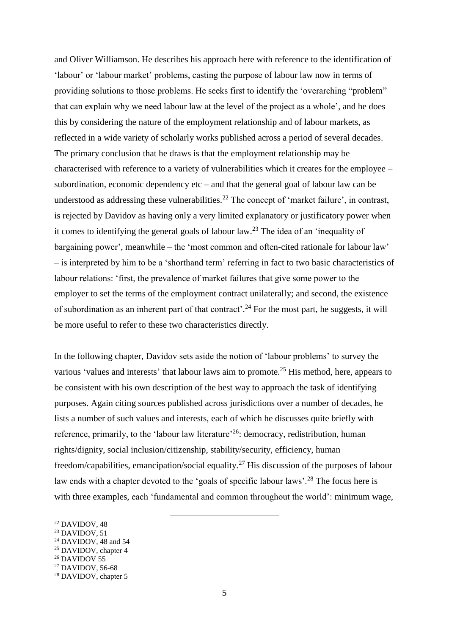and Oliver Williamson. He describes his approach here with reference to the identification of 'labour' or 'labour market' problems, casting the purpose of labour law now in terms of providing solutions to those problems. He seeks first to identify the 'overarching "problem" that can explain why we need labour law at the level of the project as a whole', and he does this by considering the nature of the employment relationship and of labour markets, as reflected in a wide variety of scholarly works published across a period of several decades. The primary conclusion that he draws is that the employment relationship may be characterised with reference to a variety of vulnerabilities which it creates for the employee – subordination, economic dependency  $etc$  – and that the general goal of labour law can be understood as addressing these vulnerabilities.<sup>22</sup> The concept of 'market failure', in contrast, is rejected by Davidov as having only a very limited explanatory or justificatory power when it comes to identifying the general goals of labour law.<sup>23</sup> The idea of an 'inequality of bargaining power', meanwhile – the 'most common and often-cited rationale for labour law' – is interpreted by him to be a 'shorthand term' referring in fact to two basic characteristics of labour relations: 'first, the prevalence of market failures that give some power to the employer to set the terms of the employment contract unilaterally; and second, the existence of subordination as an inherent part of that contract'.<sup>24</sup> For the most part, he suggests, it will be more useful to refer to these two characteristics directly.

In the following chapter, Davidov sets aside the notion of 'labour problems' to survey the various 'values and interests' that labour laws aim to promote.<sup>25</sup> His method, here, appears to be consistent with his own description of the best way to approach the task of identifying purposes. Again citing sources published across jurisdictions over a number of decades, he lists a number of such values and interests, each of which he discusses quite briefly with reference, primarily, to the 'labour law literature'<sup>26</sup>: democracy, redistribution, human rights/dignity, social inclusion/citizenship, stability/security, efficiency, human freedom/capabilities, emancipation/social equality.<sup>27</sup> His discussion of the purposes of labour law ends with a chapter devoted to the 'goals of specific labour laws'.<sup>28</sup> The focus here is with three examples, each 'fundamental and common throughout the world': minimum wage,

- $24$  DAVIDOV, 48 and 54
- $25$  DAVIDOV, chapter 4
- $26$  DAVIDOV 55

 $22$  DAVIDOV, 48

 $23$  DAVIDOV, 51

<sup>27</sup> DAVIDOV, 56-68

<sup>&</sup>lt;sup>28</sup> DAVIDOV, chapter 5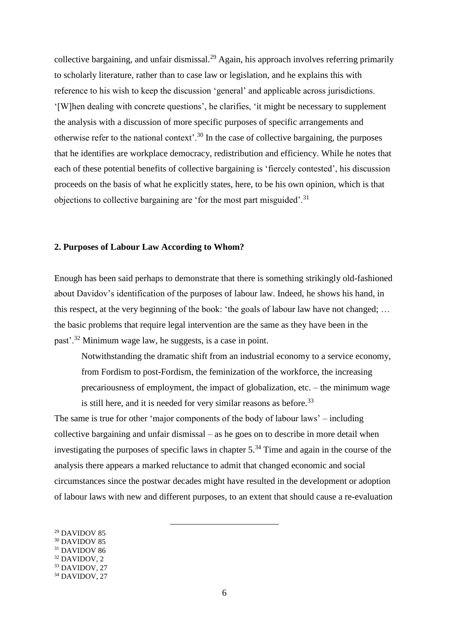collective bargaining, and unfair dismissal.<sup>29</sup> Again, his approach involves referring primarily to scholarly literature, rather than to case law or legislation, and he explains this with reference to his wish to keep the discussion 'general' and applicable across jurisdictions. '[W]hen dealing with concrete questions', he clarifies, 'it might be necessary to supplement the analysis with a discussion of more specific purposes of specific arrangements and otherwise refer to the national context'.<sup>30</sup> In the case of collective bargaining, the purposes that he identifies are workplace democracy, redistribution and efficiency. While he notes that each of these potential benefits of collective bargaining is 'fiercely contested', his discussion proceeds on the basis of what he explicitly states, here, to be his own opinion, which is that objections to collective bargaining are 'for the most part misguided'.<sup>31</sup>

## **2. Purposes of Labour Law According to Whom?**

Enough has been said perhaps to demonstrate that there is something strikingly old-fashioned about Davidov's identification of the purposes of labour law. Indeed, he shows his hand, in this respect, at the very beginning of the book: 'the goals of labour law have not changed; … the basic problems that require legal intervention are the same as they have been in the past'.<sup>32</sup> Minimum wage law, he suggests, is a case in point.

Notwithstanding the dramatic shift from an industrial economy to a service economy, from Fordism to post-Fordism, the feminization of the workforce, the increasing precariousness of employment, the impact of globalization, etc. – the minimum wage is still here, and it is needed for very similar reasons as before.  $33$ 

The same is true for other 'major components of the body of labour laws' – including collective bargaining and unfair dismissal – as he goes on to describe in more detail when investigating the purposes of specific laws in chapter  $5<sup>34</sup>$  Time and again in the course of the analysis there appears a marked reluctance to admit that changed economic and social circumstances since the postwar decades might have resulted in the development or adoption of labour laws with new and different purposes, to an extent that should cause a re-evaluation

- <sup>29</sup> DAVIDOV 85
- <sup>30</sup> DAVIDOV 85
- <sup>31</sup> DAVIDOV 86
- <sup>32</sup> DAVIDOV, 2
- <sup>33</sup> DAVIDOV, 27

<sup>&</sup>lt;sup>34</sup> DAVIDOV, 27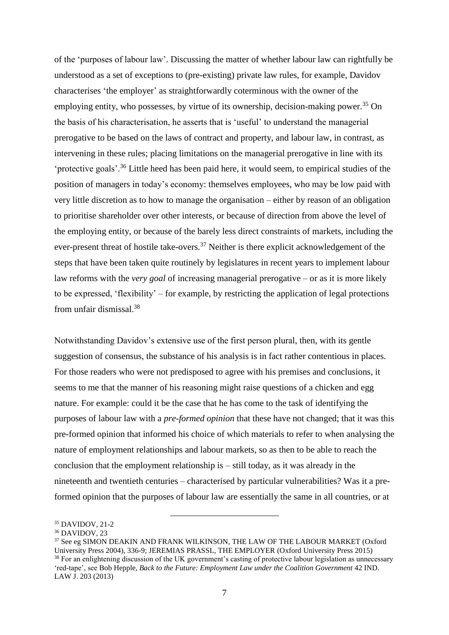of the 'purposes of labour law'. Discussing the matter of whether labour law can rightfully be understood as a set of exceptions to (pre-existing) private law rules, for example, Davidov characterises 'the employer' as straightforwardly coterminous with the owner of the employing entity, who possesses, by virtue of its ownership, decision-making power.<sup>35</sup> On the basis of his characterisation, he asserts that is 'useful' to understand the managerial prerogative to be based on the laws of contract and property, and labour law, in contrast, as intervening in these rules; placing limitations on the managerial prerogative in line with its 'protective goals'.<sup>36</sup> Little heed has been paid here, it would seem, to empirical studies of the position of managers in today's economy: themselves employees, who may be low paid with very little discretion as to how to manage the organisation – either by reason of an obligation to prioritise shareholder over other interests, or because of direction from above the level of the employing entity, or because of the barely less direct constraints of markets, including the ever-present threat of hostile take-overs.<sup>37</sup> Neither is there explicit acknowledgement of the steps that have been taken quite routinely by legislatures in recent years to implement labour law reforms with the *very goal* of increasing managerial prerogative – or as it is more likely to be expressed, 'flexibility' – for example, by restricting the application of legal protections from unfair dismissal.<sup>38</sup>

Notwithstanding Davidov's extensive use of the first person plural, then, with its gentle suggestion of consensus, the substance of his analysis is in fact rather contentious in places. For those readers who were not predisposed to agree with his premises and conclusions, it seems to me that the manner of his reasoning might raise questions of a chicken and egg nature. For example: could it be the case that he has come to the task of identifying the purposes of labour law with a *pre-formed opinion* that these have not changed; that it was this pre-formed opinion that informed his choice of which materials to refer to when analysing the nature of employment relationships and labour markets, so as then to be able to reach the conclusion that the employment relationship is – still today, as it was already in the nineteenth and twentieth centuries – characterised by particular vulnerabilities? Was it a preformed opinion that the purposes of labour law are essentially the same in all countries, or at

<sup>35</sup> DAVIDOV, 21-2

 $36$  DAVIDOV, 23

<sup>37</sup> See eg SIMON DEAKIN AND FRANK WILKINSON, THE LAW OF THE LABOUR MARKET (Oxford University Press 2004), 336-9; JEREMIAS PRASSL, THE EMPLOYER (Oxford University Press 2015) <sup>38</sup> For an enlightening discussion of the UK government's casting of protective labour legislation as unnecessary 'red-tape', see Bob Hepple, *Back to the Future: Employment Law under the Coalition Government* 42 IND. LAW J. 203 (2013)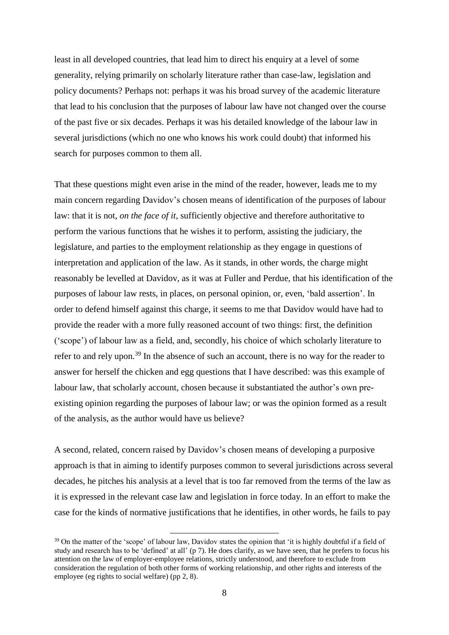least in all developed countries, that lead him to direct his enquiry at a level of some generality, relying primarily on scholarly literature rather than case-law, legislation and policy documents? Perhaps not: perhaps it was his broad survey of the academic literature that lead to his conclusion that the purposes of labour law have not changed over the course of the past five or six decades. Perhaps it was his detailed knowledge of the labour law in several jurisdictions (which no one who knows his work could doubt) that informed his search for purposes common to them all.

That these questions might even arise in the mind of the reader, however, leads me to my main concern regarding Davidov's chosen means of identification of the purposes of labour law: that it is not, *on the face of it*, sufficiently objective and therefore authoritative to perform the various functions that he wishes it to perform, assisting the judiciary, the legislature, and parties to the employment relationship as they engage in questions of interpretation and application of the law. As it stands, in other words, the charge might reasonably be levelled at Davidov, as it was at Fuller and Perdue, that his identification of the purposes of labour law rests, in places, on personal opinion, or, even, 'bald assertion'. In order to defend himself against this charge, it seems to me that Davidov would have had to provide the reader with a more fully reasoned account of two things: first, the definition ('scope') of labour law as a field, and, secondly, his choice of which scholarly literature to refer to and rely upon.<sup>39</sup> In the absence of such an account, there is no way for the reader to answer for herself the chicken and egg questions that I have described: was this example of labour law, that scholarly account, chosen because it substantiated the author's own preexisting opinion regarding the purposes of labour law; or was the opinion formed as a result of the analysis, as the author would have us believe?

A second, related, concern raised by Davidov's chosen means of developing a purposive approach is that in aiming to identify purposes common to several jurisdictions across several decades, he pitches his analysis at a level that is too far removed from the terms of the law as it is expressed in the relevant case law and legislation in force today. In an effort to make the case for the kinds of normative justifications that he identifies, in other words, he fails to pay

<sup>&</sup>lt;sup>39</sup> On the matter of the 'scope' of labour law. Davidov states the opinion that 'it is highly doubtful if a field of study and research has to be 'defined' at all' (p 7). He does clarify, as we have seen, that he prefers to focus his attention on the law of employer-employee relations, strictly understood, and therefore to exclude from consideration the regulation of both other forms of working relationship, and other rights and interests of the employee (eg rights to social welfare) (pp 2, 8).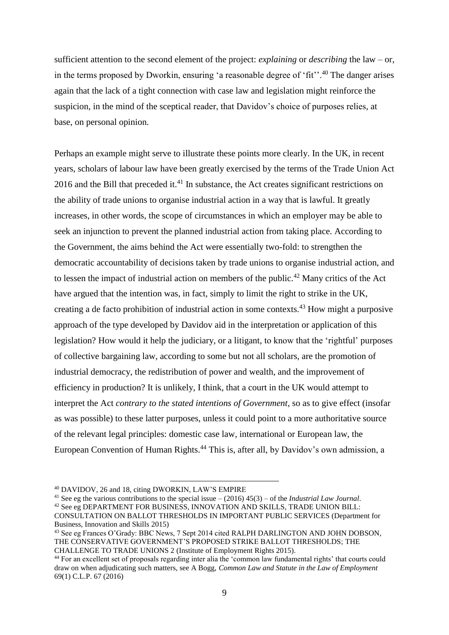sufficient attention to the second element of the project: *explaining* or *describing* the law – or, in the terms proposed by Dworkin, ensuring 'a reasonable degree of 'fit''.<sup>40</sup> The danger arises again that the lack of a tight connection with case law and legislation might reinforce the suspicion, in the mind of the sceptical reader, that Davidov's choice of purposes relies, at base, on personal opinion.

Perhaps an example might serve to illustrate these points more clearly. In the UK, in recent years, scholars of labour law have been greatly exercised by the terms of the Trade Union Act 2016 and the Bill that preceded it. $41$  In substance, the Act creates significant restrictions on the ability of trade unions to organise industrial action in a way that is lawful. It greatly increases, in other words, the scope of circumstances in which an employer may be able to seek an injunction to prevent the planned industrial action from taking place. According to the Government, the aims behind the Act were essentially two-fold: to strengthen the democratic accountability of decisions taken by trade unions to organise industrial action, and to lessen the impact of industrial action on members of the public.<sup>42</sup> Many critics of the Act have argued that the intention was, in fact, simply to limit the right to strike in the UK, creating a de facto prohibition of industrial action in some contexts.<sup>43</sup> How might a purposive approach of the type developed by Davidov aid in the interpretation or application of this legislation? How would it help the judiciary, or a litigant, to know that the 'rightful' purposes of collective bargaining law, according to some but not all scholars, are the promotion of industrial democracy, the redistribution of power and wealth, and the improvement of efficiency in production? It is unlikely, I think, that a court in the UK would attempt to interpret the Act *contrary to the stated intentions of Government*, so as to give effect (insofar as was possible) to these latter purposes, unless it could point to a more authoritative source of the relevant legal principles: domestic case law, international or European law, the European Convention of Human Rights. <sup>44</sup> This is, after all, by Davidov's own admission, a

 $\overline{a}$ 

<sup>41</sup> See eg the various contributions to the special issue – (2016) 45(3) – of the *Industrial Law Journal*. <sup>42</sup> See eg DEPARTMENT FOR BUSINESS, INNOVATION AND SKILLS, TRADE UNION BILL: CONSULTATION ON BALLOT THRESHOLDS IN IMPORTANT PUBLIC SERVICES (Department for Business, Innovation and Skills 2015)

<sup>40</sup> DAVIDOV, 26 and 18, citing DWORKIN, LAW'S EMPIRE

<sup>&</sup>lt;sup>43</sup> See eg Frances O'Grady: BBC News, 7 Sept 2014 cited RALPH DARLINGTON AND JOHN DOBSON, THE CONSERVATIVE GOVERNMENT'S PROPOSED STRIKE BALLOT THRESHOLDS; THE CHALLENGE TO TRADE UNIONS 2 (Institute of Employment Rights 2015).

<sup>44</sup> For an excellent set of proposals regarding inter alia the 'common law fundamental rights' that courts could draw on when adjudicating such matters, see A Bogg, *Common Law and Statute in the Law of Employment* 69(1) C.L.P. 67 (2016)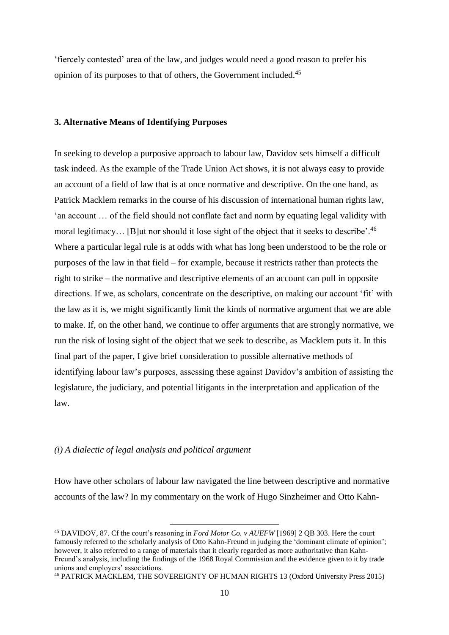'fiercely contested' area of the law, and judges would need a good reason to prefer his opinion of its purposes to that of others, the Government included. 45

### **3. Alternative Means of Identifying Purposes**

In seeking to develop a purposive approach to labour law, Davidov sets himself a difficult task indeed. As the example of the Trade Union Act shows, it is not always easy to provide an account of a field of law that is at once normative and descriptive. On the one hand, as Patrick Macklem remarks in the course of his discussion of international human rights law, 'an account … of the field should not conflate fact and norm by equating legal validity with moral legitimacy... [B]ut nor should it lose sight of the object that it seeks to describe'.<sup>46</sup> Where a particular legal rule is at odds with what has long been understood to be the role or purposes of the law in that field – for example, because it restricts rather than protects the right to strike – the normative and descriptive elements of an account can pull in opposite directions. If we, as scholars, concentrate on the descriptive, on making our account 'fit' with the law as it is, we might significantly limit the kinds of normative argument that we are able to make. If, on the other hand, we continue to offer arguments that are strongly normative, we run the risk of losing sight of the object that we seek to describe, as Macklem puts it. In this final part of the paper, I give brief consideration to possible alternative methods of identifying labour law's purposes, assessing these against Davidov's ambition of assisting the legislature, the judiciary, and potential litigants in the interpretation and application of the law.

### *(i) A dialectic of legal analysis and political argument*

 $\overline{a}$ 

How have other scholars of labour law navigated the line between descriptive and normative accounts of the law? In my commentary on the work of Hugo Sinzheimer and Otto Kahn-

<sup>45</sup> DAVIDOV, 87. Cf the court's reasoning in *Ford Motor Co. v AUEFW* [1969] 2 QB 303. Here the court famously referred to the scholarly analysis of Otto Kahn-Freund in judging the 'dominant climate of opinion'; however, it also referred to a range of materials that it clearly regarded as more authoritative than Kahn-Freund's analysis, including the findings of the 1968 Royal Commission and the evidence given to it by trade unions and employers' associations.

<sup>46</sup> PATRICK MACKLEM, THE SOVEREIGNTY OF HUMAN RIGHTS 13 (Oxford University Press 2015)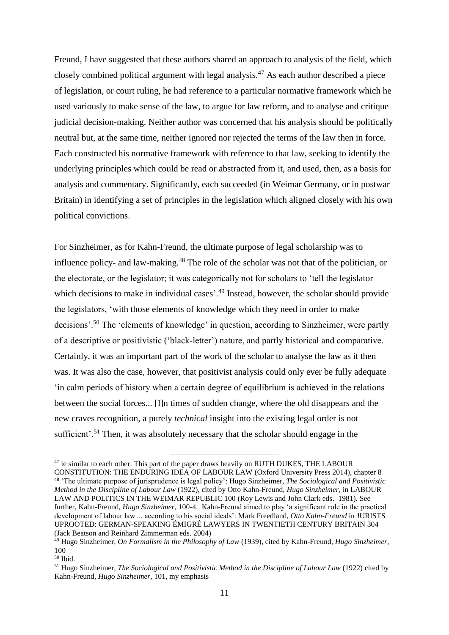Freund, I have suggested that these authors shared an approach to analysis of the field, which closely combined political argument with legal analysis.<sup>47</sup> As each author described a piece of legislation, or court ruling, he had reference to a particular normative framework which he used variously to make sense of the law, to argue for law reform, and to analyse and critique judicial decision-making. Neither author was concerned that his analysis should be politically neutral but, at the same time, neither ignored nor rejected the terms of the law then in force. Each constructed his normative framework with reference to that law, seeking to identify the underlying principles which could be read or abstracted from it, and used, then, as a basis for analysis and commentary. Significantly, each succeeded (in Weimar Germany, or in postwar Britain) in identifying a set of principles in the legislation which aligned closely with his own political convictions.

For Sinzheimer, as for Kahn-Freund, the ultimate purpose of legal scholarship was to influence policy- and law-making.<sup>48</sup> The role of the scholar was not that of the politician, or the electorate, or the legislator; it was categorically not for scholars to 'tell the legislator which decisions to make in individual cases'.<sup>49</sup> Instead, however, the scholar should provide the legislators, 'with those elements of knowledge which they need in order to make decisions'.<sup>50</sup> The 'elements of knowledge' in question, according to Sinzheimer, were partly of a descriptive or positivistic ('black-letter') nature, and partly historical and comparative. Certainly, it was an important part of the work of the scholar to analyse the law as it then was. It was also the case, however, that positivist analysis could only ever be fully adequate 'in calm periods of history when a certain degree of equilibrium is achieved in the relations between the social forces... [I]n times of sudden change, where the old disappears and the new craves recognition, a purely *technical* insight into the existing legal order is not sufficient'.<sup>51</sup> Then, it was absolutely necessary that the scholar should engage in the

<sup>&</sup>lt;sup>47</sup> ie similar to each other. This part of the paper draws heavily on RUTH DUKES, THE LABOUR CONSTITUTION: THE ENDURING IDEA OF LABOUR LAW (Oxford University Press 2014), chapter 8 <sup>48</sup> 'The ultimate purpose of jurisprudence is legal policy': Hugo Sinzheimer, *The Sociological and Positivistic Method in the Discipline of Labour Law* (1922), cited by Otto Kahn-Freund, *Hugo Sinzheimer*, in LABOUR LAW AND POLITICS IN THE WEIMAR REPUBLIC 100 (Roy Lewis and John Clark eds. 1981). See further, Kahn-Freund, *Hugo Sinzheimer*, 100-4. Kahn-Freund aimed to play 'a significant role in the practical development of labour law ... according to his social ideals': Mark Freedland, *Otto Kahn-Freund* in JURISTS UPROOTED: GERMAN-SPEAKING ÉMIGRÉ LAWYERS IN TWENTIETH CENTURY BRITAIN 304 (Jack Beatson and Reinhard Zimmerman eds. 2004)

<sup>49</sup> Hugo Sinzheimer, *On Formalism in the Philosophy of Law* (1939), cited by Kahn-Freund, *Hugo Sinzheimer*, 100

<sup>50</sup> Ibid.

<sup>51</sup> Hugo Sinzheimer, *The Sociological and Positivistic Method in the Discipline of Labour Law* (1922) cited by Kahn-Freund, *Hugo Sinzheimer*, 101, my emphasis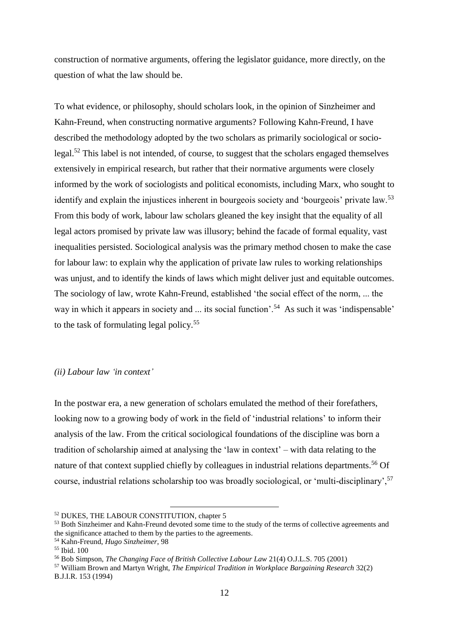construction of normative arguments, offering the legislator guidance, more directly, on the question of what the law should be.

To what evidence, or philosophy, should scholars look, in the opinion of Sinzheimer and Kahn-Freund, when constructing normative arguments? Following Kahn-Freund, I have described the methodology adopted by the two scholars as primarily sociological or sociolegal.<sup>52</sup> This label is not intended, of course, to suggest that the scholars engaged themselves extensively in empirical research, but rather that their normative arguments were closely informed by the work of sociologists and political economists, including Marx, who sought to identify and explain the injustices inherent in bourgeois society and 'bourgeois' private law.<sup>53</sup> From this body of work, labour law scholars gleaned the key insight that the equality of all legal actors promised by private law was illusory; behind the facade of formal equality, vast inequalities persisted. Sociological analysis was the primary method chosen to make the case for labour law: to explain why the application of private law rules to working relationships was unjust, and to identify the kinds of laws which might deliver just and equitable outcomes. The sociology of law, wrote Kahn-Freund, established 'the social effect of the norm, ... the way in which it appears in society and ... its social function'.<sup>54</sup> As such it was 'indispensable' to the task of formulating legal policy. 55

## *(ii) Labour law 'in context'*

In the postwar era, a new generation of scholars emulated the method of their forefathers, looking now to a growing body of work in the field of 'industrial relations' to inform their analysis of the law. From the critical sociological foundations of the discipline was born a tradition of scholarship aimed at analysing the 'law in context' – with data relating to the nature of that context supplied chiefly by colleagues in industrial relations departments.<sup>56</sup> Of course, industrial relations scholarship too was broadly sociological, or 'multi-disciplinary',<sup>57</sup>

<sup>52</sup> DUKES, THE LABOUR CONSTITUTION, chapter 5

<sup>&</sup>lt;sup>53</sup> Both Sinzheimer and Kahn-Freund devoted some time to the study of the terms of collective agreements and the significance attached to them by the parties to the agreements.

<sup>54</sup> Kahn-Freund, *Hugo Sinzheimer*, 98

<sup>55</sup> Ibid. 100

<sup>56</sup> Bob Simpson, *The Changing Face of British Collective Labour Law* 21(4) O.J.L.S. 705 (2001)

<sup>57</sup> William Brown and Martyn Wright, *The Empirical Tradition in Workplace Bargaining Research* 32(2) B.J.I.R. 153 (1994)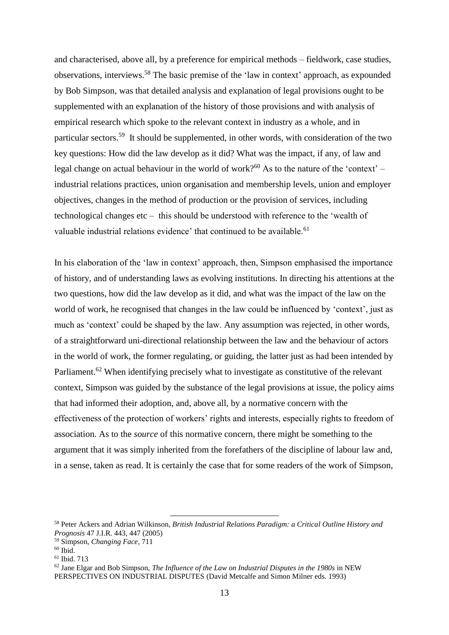and characterised, above all, by a preference for empirical methods – fieldwork, case studies, observations, interviews.<sup>58</sup> The basic premise of the 'law in context' approach, as expounded by Bob Simpson, was that detailed analysis and explanation of legal provisions ought to be supplemented with an explanation of the history of those provisions and with analysis of empirical research which spoke to the relevant context in industry as a whole, and in particular sectors.<sup>59</sup> It should be supplemented, in other words, with consideration of the two key questions: How did the law develop as it did? What was the impact, if any, of law and legal change on actual behaviour in the world of work?<sup>60</sup> As to the nature of the 'context' – industrial relations practices, union organisation and membership levels, union and employer objectives, changes in the method of production or the provision of services, including technological changes etc – this should be understood with reference to the 'wealth of valuable industrial relations evidence' that continued to be available.<sup>61</sup>

In his elaboration of the 'law in context' approach, then, Simpson emphasised the importance of history, and of understanding laws as evolving institutions. In directing his attentions at the two questions, how did the law develop as it did, and what was the impact of the law on the world of work, he recognised that changes in the law could be influenced by 'context', just as much as 'context' could be shaped by the law. Any assumption was rejected, in other words, of a straightforward uni-directional relationship between the law and the behaviour of actors in the world of work, the former regulating, or guiding, the latter just as had been intended by Parliament.<sup>62</sup> When identifying precisely what to investigate as constitutive of the relevant context, Simpson was guided by the substance of the legal provisions at issue, the policy aims that had informed their adoption, and, above all, by a normative concern with the effectiveness of the protection of workers' rights and interests, especially rights to freedom of association. As to the *source* of this normative concern, there might be something to the argument that it was simply inherited from the forefathers of the discipline of labour law and, in a sense, taken as read. It is certainly the case that for some readers of the work of Simpson,

<sup>58</sup> Peter Ackers and Adrian Wilkinson, *British Industrial Relations Paradigm: a Critical Outline History and Prognosis* 47 J.I.R. 443, 447 (2005)

<sup>59</sup> Simpson, *Changing Face*, 711

 $60$  Ibid.

<sup>61</sup> Ibid. 713

<sup>62</sup> Jane Elgar and Bob Simpson, *The Influence of the Law on Industrial Disputes in the 1980s* in NEW PERSPECTIVES ON INDUSTRIAL DISPUTES (David Metcalfe and Simon Milner eds. 1993)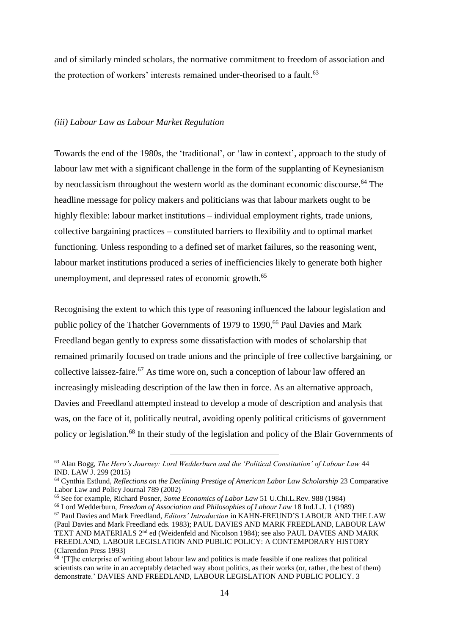and of similarly minded scholars, the normative commitment to freedom of association and the protection of workers' interests remained under-theorised to a fault.<sup>63</sup>

#### *(iii) Labour Law as Labour Market Regulation*

Towards the end of the 1980s, the 'traditional', or 'law in context', approach to the study of labour law met with a significant challenge in the form of the supplanting of Keynesianism by neoclassicism throughout the western world as the dominant economic discourse.<sup>64</sup> The headline message for policy makers and politicians was that labour markets ought to be highly flexible: labour market institutions – individual employment rights, trade unions, collective bargaining practices – constituted barriers to flexibility and to optimal market functioning. Unless responding to a defined set of market failures, so the reasoning went, labour market institutions produced a series of inefficiencies likely to generate both higher unemployment, and depressed rates of economic growth.<sup>65</sup>

Recognising the extent to which this type of reasoning influenced the labour legislation and public policy of the Thatcher Governments of 1979 to 1990,<sup>66</sup> Paul Davies and Mark Freedland began gently to express some dissatisfaction with modes of scholarship that remained primarily focused on trade unions and the principle of free collective bargaining, or collective laissez-faire. <sup>67</sup> As time wore on, such a conception of labour law offered an increasingly misleading description of the law then in force. As an alternative approach, Davies and Freedland attempted instead to develop a mode of description and analysis that was, on the face of it, politically neutral, avoiding openly political criticisms of government policy or legislation.<sup>68</sup> In their study of the legislation and policy of the Blair Governments of

<sup>63</sup> Alan Bogg, *The Hero's Journey: Lord Wedderburn and the 'Political Constitution' of Labour Law* 44 IND. LAW J. 299 (2015)

<sup>64</sup> Cynthia Estlund, *Reflections on the Declining Prestige of American Labor Law Scholarship* 23 Comparative Labor Law and Policy Journal 789 (2002)

<sup>65</sup> See for example, Richard Posner, *Some Economics of Labor Law* 51 U.Chi.L.Rev. 988 (1984)

<sup>66</sup> Lord Wedderburn, *Freedom of Association and Philosophies of Labour Law* 18 Ind.L.J. 1 (1989)

<sup>67</sup> Paul Davies and Mark Freedland, *Editors' Introduction* in KAHN-FREUND'S LABOUR AND THE LAW (Paul Davies and Mark Freedland eds. 1983); PAUL DAVIES AND MARK FREEDLAND, LABOUR LAW TEXT AND MATERIALS 2<sup>nd</sup> ed (Weidenfeld and Nicolson 1984); see also PAUL DAVIES AND MARK FREEDLAND, LABOUR LEGISLATION AND PUBLIC POLICY: A CONTEMPORARY HISTORY (Clarendon Press 1993)

<sup>&</sup>lt;sup>68</sup> '[T]he enterprise of writing about labour law and politics is made feasible if one realizes that political scientists can write in an acceptably detached way about politics, as their works (or, rather, the best of them) demonstrate.' DAVIES AND FREEDLAND, LABOUR LEGISLATION AND PUBLIC POLICY. 3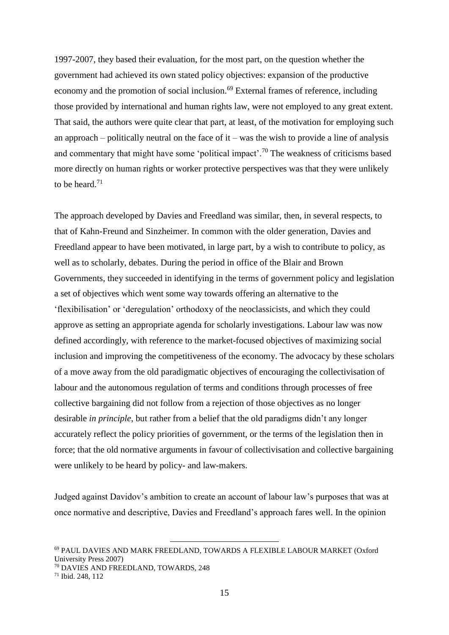1997-2007, they based their evaluation, for the most part, on the question whether the government had achieved its own stated policy objectives: expansion of the productive economy and the promotion of social inclusion.<sup>69</sup> External frames of reference, including those provided by international and human rights law, were not employed to any great extent. That said, the authors were quite clear that part, at least, of the motivation for employing such an approach – politically neutral on the face of it – was the wish to provide a line of analysis and commentary that might have some 'political impact'.<sup>70</sup> The weakness of criticisms based more directly on human rights or worker protective perspectives was that they were unlikely to be heard.<sup>71</sup>

The approach developed by Davies and Freedland was similar, then, in several respects, to that of Kahn-Freund and Sinzheimer. In common with the older generation, Davies and Freedland appear to have been motivated, in large part, by a wish to contribute to policy, as well as to scholarly, debates. During the period in office of the Blair and Brown Governments, they succeeded in identifying in the terms of government policy and legislation a set of objectives which went some way towards offering an alternative to the 'flexibilisation' or 'deregulation' orthodoxy of the neoclassicists, and which they could approve as setting an appropriate agenda for scholarly investigations. Labour law was now defined accordingly, with reference to the market-focused objectives of maximizing social inclusion and improving the competitiveness of the economy. The advocacy by these scholars of a move away from the old paradigmatic objectives of encouraging the collectivisation of labour and the autonomous regulation of terms and conditions through processes of free collective bargaining did not follow from a rejection of those objectives as no longer desirable *in principle*, but rather from a belief that the old paradigms didn't any longer accurately reflect the policy priorities of government, or the terms of the legislation then in force; that the old normative arguments in favour of collectivisation and collective bargaining were unlikely to be heard by policy- and law-makers.

Judged against Davidov's ambition to create an account of labour law's purposes that was at once normative and descriptive, Davies and Freedland's approach fares well. In the opinion

<sup>69</sup> PAUL DAVIES AND MARK FREEDLAND, TOWARDS A FLEXIBLE LABOUR MARKET (Oxford University Press 2007)

<sup>70</sup> DAVIES AND FREEDLAND, TOWARDS, 248

<sup>71</sup> Ibid. 248, 112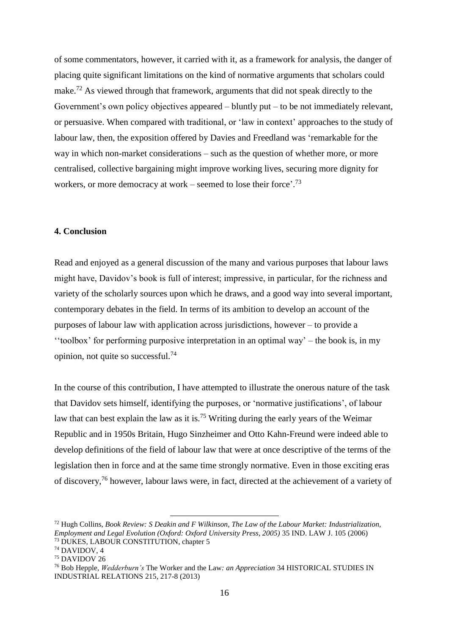of some commentators, however, it carried with it, as a framework for analysis, the danger of placing quite significant limitations on the kind of normative arguments that scholars could make.<sup>72</sup> As viewed through that framework, arguments that did not speak directly to the Government's own policy objectives appeared – bluntly put – to be not immediately relevant, or persuasive. When compared with traditional, or 'law in context' approaches to the study of labour law, then, the exposition offered by Davies and Freedland was 'remarkable for the way in which non-market considerations – such as the question of whether more, or more centralised, collective bargaining might improve working lives, securing more dignity for workers, or more democracy at work – seemed to lose their force'. 73

## **4. Conclusion**

Read and enjoyed as a general discussion of the many and various purposes that labour laws might have, Davidov's book is full of interest; impressive, in particular, for the richness and variety of the scholarly sources upon which he draws, and a good way into several important, contemporary debates in the field. In terms of its ambition to develop an account of the purposes of labour law with application across jurisdictions, however – to provide a ''toolbox' for performing purposive interpretation in an optimal way' – the book is, in my opinion, not quite so successful.<sup>74</sup>

In the course of this contribution, I have attempted to illustrate the onerous nature of the task that Davidov sets himself, identifying the purposes, or 'normative justifications', of labour law that can best explain the law as it is.<sup>75</sup> Writing during the early years of the Weimar Republic and in 1950s Britain, Hugo Sinzheimer and Otto Kahn-Freund were indeed able to develop definitions of the field of labour law that were at once descriptive of the terms of the legislation then in force and at the same time strongly normative. Even in those exciting eras of discovery,<sup>76</sup> however, labour laws were, in fact, directed at the achievement of a variety of

<sup>72</sup> Hugh Collins, *Book Review: S Deakin and F Wilkinson, The Law of the Labour Market: Industrialization, Employment and Legal Evolution (Oxford: Oxford University Press, 2005)* 35 IND. LAW J. 105 (2006) <sup>73</sup> DUKES, LABOUR CONSTITUTION, chapter 5

<sup>74</sup> DAVIDOV, 4

<sup>75</sup> DAVIDOV 26

<sup>76</sup> Bob Hepple, *Wedderburn's* The Worker and the Law*: an Appreciation* 34 HISTORICAL STUDIES IN INDUSTRIAL RELATIONS 215, 217-8 (2013)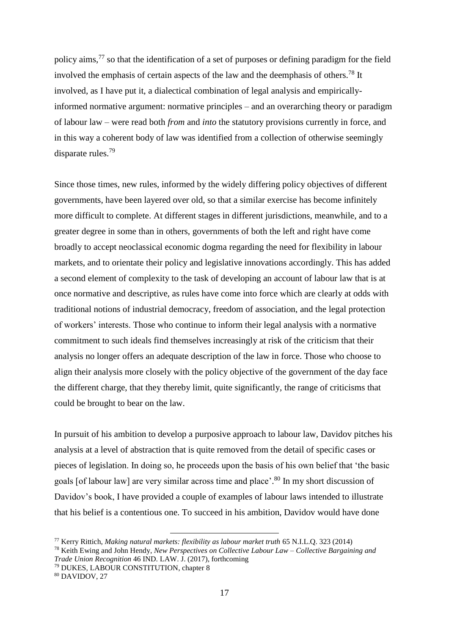policy aims,  $77$  so that the identification of a set of purposes or defining paradigm for the field involved the emphasis of certain aspects of the law and the deemphasis of others.<sup>78</sup> It involved, as I have put it, a dialectical combination of legal analysis and empiricallyinformed normative argument: normative principles – and an overarching theory or paradigm of labour law – were read both *from* and *into* the statutory provisions currently in force, and in this way a coherent body of law was identified from a collection of otherwise seemingly disparate rules.<sup>79</sup>

Since those times, new rules, informed by the widely differing policy objectives of different governments, have been layered over old, so that a similar exercise has become infinitely more difficult to complete. At different stages in different jurisdictions, meanwhile, and to a greater degree in some than in others, governments of both the left and right have come broadly to accept neoclassical economic dogma regarding the need for flexibility in labour markets, and to orientate their policy and legislative innovations accordingly. This has added a second element of complexity to the task of developing an account of labour law that is at once normative and descriptive, as rules have come into force which are clearly at odds with traditional notions of industrial democracy, freedom of association, and the legal protection of workers' interests. Those who continue to inform their legal analysis with a normative commitment to such ideals find themselves increasingly at risk of the criticism that their analysis no longer offers an adequate description of the law in force. Those who choose to align their analysis more closely with the policy objective of the government of the day face the different charge, that they thereby limit, quite significantly, the range of criticisms that could be brought to bear on the law.

In pursuit of his ambition to develop a purposive approach to labour law, Davidov pitches his analysis at a level of abstraction that is quite removed from the detail of specific cases or pieces of legislation. In doing so, he proceeds upon the basis of his own belief that 'the basic goals [of labour law] are very similar across time and place'. <sup>80</sup> In my short discussion of Davidov's book, I have provided a couple of examples of labour laws intended to illustrate that his belief is a contentious one. To succeed in his ambition, Davidov would have done

<sup>77</sup> Kerry Rittich, *Making natural markets: flexibility as labour market truth* 65 N.I.L.Q. 323 (2014)

<sup>78</sup> Keith Ewing and John Hendy, *New Perspectives on Collective Labour Law – Collective Bargaining and Trade Union Recognition* 46 IND. LAW. J. (2017), forthcoming

<sup>79</sup> DUKES, LABOUR CONSTITUTION, chapter 8 <sup>80</sup> DAVIDOV, 27